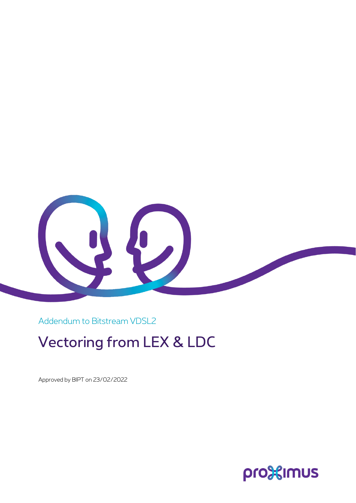

Addendum to Bitstream VDSL2

## Vectoring from LEX & LDC

Approved by BIPT on 23/02/2022

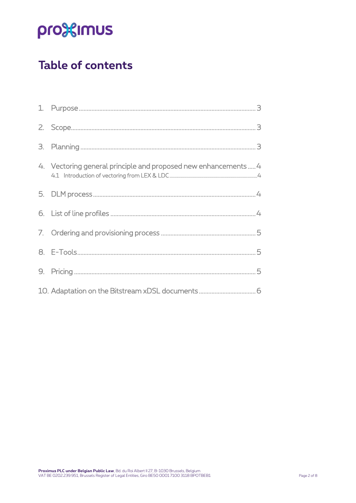# pro<sup>32</sup>imus

## **Table of contents**

|    | 4. Vectoring general principle and proposed new enhancements4 |
|----|---------------------------------------------------------------|
| 5. |                                                               |
|    |                                                               |
| 7. |                                                               |
|    |                                                               |
| 9. |                                                               |
|    |                                                               |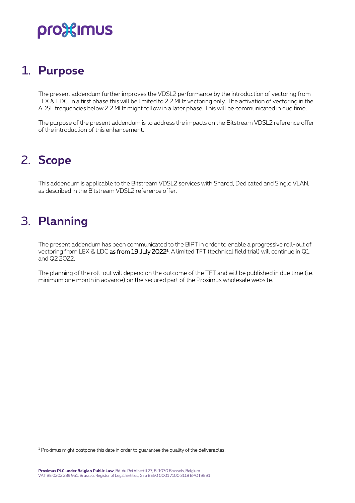## pro%imus

### <span id="page-2-0"></span>1. **Purpose**

The present addendum further improves the VDSL2 performance by the introduction of vectoring from LEX & LDC. In a first phase this will be limited to 2,2 MHz vectoring only. The activation of vectoring in the ADSL frequencies below 2,2 MHz might follow in a later phase. This will be communicated in due time.

<span id="page-2-1"></span>The purpose of the present addendum is to address the impacts on the Bitstream VDSL2 reference offer of the introduction of this enhancement.

### 2. **Scope**

<span id="page-2-2"></span>This addendum is applicable to the Bitstream VDSL2 services with Shared, Dedicated and Single VLAN, as described in the Bitstream VDSL2 reference offer.

### 3. **Planning**

The present addendum has been communicated to the BIPT in order to enable a progressive roll-out of vectoring from LEX & LDC **as from 19 July 2022**ª. A limited TFT (technical field trial) will continue in Q1 and Q2 2022.

The planning of the roll-out will depend on the outcome of the TFT and will be published in due time (i.e. minimum one month in advance) on the secured part of the Proximus wholesale website.

<sup>1</sup> Proximus might postpone this date in order to guarantee the quality of the deliverables.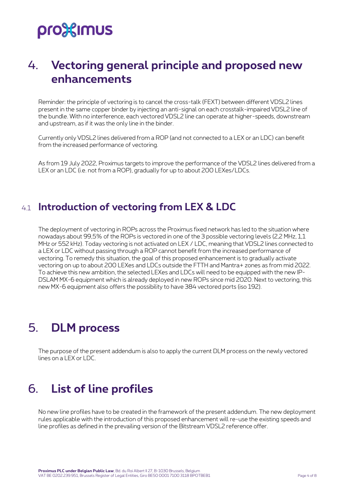# pro<sup>32</sup>imus

#### <span id="page-3-0"></span>4. **Vectoring general principle and proposed new enhancements**

Reminder: the principle of vectoring is to cancel the cross-talk (FEXT) between different VDSL2 lines present in the same copper binder by injecting an anti-signal on each crosstalk-impaired VDSL2 line of the bundle. With no interference, each vectored VDSL2 line can operate at higher-speeds, downstream and upstream, as if it was the only line in the binder.

Currently only VDSL2 lines delivered from a ROP (and not connected to a LEX or an LDC) can benefit from the increased performance of vectoring.

As from 19 July 2022, Proximus targets to improve the performance of the VDSL2 lines delivered from a LEX or an LDC (i.e. not from a ROP), gradually for up to about 200 LEXes/LDCs.

#### <span id="page-3-1"></span>4.1 **Introduction of vectoring from LEX & LDC**

The deployment of vectoring in ROPs across the Proximus fixed network has led to the situation where nowadays about 99,5% of the ROPs is vectored in one of the 3 possible vectoring levels (2,2 MHz, 1,1 MHz or 552 kHz). Today vectoring is not activated on LEX / LDC, meaning that VDSL2 lines connected to a LEX or LDC without passing through a ROP cannot benefit from the increased performance of vectoring. To remedy this situation, the goal of this proposed enhancement is to gradually activate vectoring on up to about 200 LEXes and LDCs outside the FTTH and Mantra+ zones as from mid 2022. To achieve this new ambition, the selected LEXes and LDCs will need to be equipped with the new IP-DSLAM MX-6 equipment which is already deployed in new ROPs since mid 2020. Next to vectoring, this new MX-6 equipment also offers the possibility to have 384 vectored ports (iso 192).

### <span id="page-3-2"></span>5. **DLM process**

<span id="page-3-3"></span>The purpose of the present addendum is also to apply the current DLM process on the newly vectored lines on a LEX or LDC.

### 6. **List of line profiles**

No new line profiles have to be created in the framework of the present addendum. The new deployment rules applicable with the introduction of this proposed enhancement will re-use the existing speeds and line profiles as defined in the prevailing version of the Bitstream VDSL2 reference offer.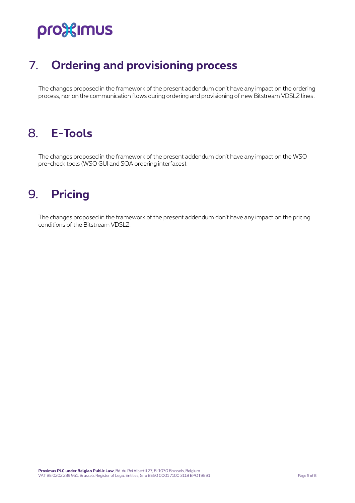# pro<sup>32</sup>imus

## <span id="page-4-0"></span>7. **Ordering and provisioning process**

<span id="page-4-1"></span>The changes proposed in the framework of the present addendum don't have any impact on the ordering process, nor on the communication flows during ordering and provisioning of new Bitstream VDSL2 lines.

### 8. **E-Tools**

<span id="page-4-2"></span>The changes proposed in the framework of the present addendum don't have any impact on the WSO pre-check tools (WSO GUI and SOA ordering interfaces).

#### 9. **Pricing**

The changes proposed in the framework of the present addendum don't have any impact on the pricing conditions of the Bitstream VDSL2.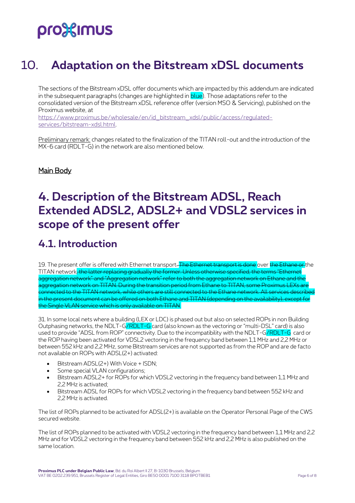# pro%imus

### <span id="page-5-0"></span>10. **Adaptation on the Bitstream xDSL documents**

The sections of the Bitstream xDSL offer documents which are impacted by this addendum are indicated in the subsequent paragraphs (changes are highlighted in blue). Those adaptations refer to the consolidated version of the Bitstream xDSL reference offer (version MSO & Servicing), published on the Proximus website, at

[https://www.proximus.be/wholesale/en/id\\_bitstream\\_xdsl/public/access/regulated](https://www.proximus.be/wholesale/en/id_bitstream_xdsl/public/access/regulated-services/bitstream-xdsl.html)[services/bitstream-xdsl.html.](https://www.proximus.be/wholesale/en/id_bitstream_xdsl/public/access/regulated-services/bitstream-xdsl.html)

Preliminary remark: changes related to the finalization of the TITAN roll-out and the introduction of the MX-6 card (RDLT-G) in the network are also mentioned below.

Main Body

### **4. Description of the Bitstream ADSL, Reach Extended ADSL2, ADSL2+ and VDSL2 services in scope of the present offer**

#### **4.1. Introduction**

19. The present offer is offered with Ethernet transport<del>. The Ethernet transport is done</del> over the Ethane or the TITAN network, the latter replacing gradually the former. Unless otherwise specified, the terms "Ethernet aggregation network" and "Aggregation network" refer to both the aggregation network on Ethane and the aggregation network on TITAN. During the transition period from Ethane to TITAN, some Proximus LEXs are connected to the TITAN network, while others are still connected to the Ethane network. All service n the present document can be offered on both Ethane and TITAN (depending on the availability),  $\overline{\phantom{a}}$  $t$ ingle VLAN service which is only available on TITAN.

31. In some local nets where a building (LEX or LDC) is phased out but also on selected ROPs in non Building Outphasing networks, the NDLT-G/RDLT-G card (also known as the vectoring or "multi-DSL" card) is also used to provide "ADSL from ROP" connectivity. Due to the incompatibility with the NDLT-G/RDLT-G card or the ROP having been activated for VDSL2 vectoring in the frequency band between 1,1 MHz and 2,2 MHz or between 552 kHz and 2,2 MHz, some Bitstream services are not supported as from the ROP and are de facto not available on ROPs with ADSL(2+) activated:

- Bitstream ADSL(2+) With Voice + ISDN;
- Some special VLAN configurations:
- Bitstream ADSL2+ for ROPs for which VDSL2 vectoring in the frequency band between 1,1 MHz and 2,2 MHz is activated;
- Bitstream ADSL for ROPs for which VDSL2 vectoring in the frequency band between 552 kHz and 2,2 MHz is activated.

The list of ROPs planned to be activated for ADSL(2+) is available on the Operator Personal Page of the CWS secured website.

The list of ROPs planned to be activated with VDSL2 vectoring in the frequency band between 1,1 MHz and 2,2 MHz and for VDSL2 vectoring in the frequency band between 552 kHz and 2,2 MHz is also published on the same location.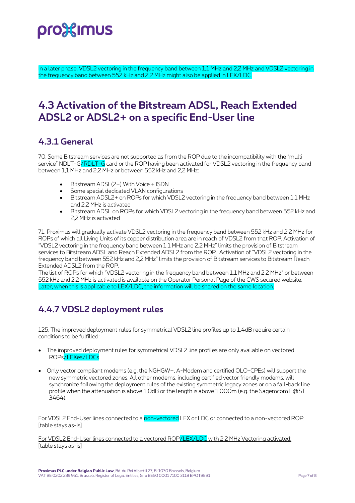

In a later phase, VDSL2 vectoring in the frequency band between 1,1 MHz and 2,2 MHz and VDSL2 vectoring in the frequency band between 552 kHz and 2,2 MHz might also be applied in LEX/LDC.

#### **4.3 Activation of the Bitstream ADSL, Reach Extended ADSL2 or ADSL2+ on a specific End-User line**

#### **4.3.1 General**

70. Some Bitstream services are not supported as from the ROP due to the incompatibility with the "multi service" NDLT-G/RDLT-G card or the ROP having been activated for VDSL2 vectoring in the frequency band between 1,1 MHz and 2,2 MHz or between 552 kHz and 2,2 MHz:

- Bitstream ADSL(2+) With Voice + ISDN
- Some special dedicated VLAN configurations
- Bitstream ADSL2+ on ROPs for which VDSL2 vectoring in the frequency band between 1,1 MHz and 2,2 MHz is activated
- Bitstream ADSL on ROPs for which VDSL2 vectoring in the frequency band between 552 kHz and 2,2 MHz is activated

71. Proximus will gradually activate VDSL2 vectoring in the frequency band between 552 kHz and 2,2 MHz for ROPs of which all Living Units of its copper distribution area are in reach of VDSL2 from that ROP. Activation of "VDSL2 vectoring in the frequency band between 1,1 MHz and 2,2 MHz" limits the provision of Bitstream services to Bitstream ADSL and Reach Extended ADSL2 from the ROP. Activation of "VDSL2 vectoring in the frequency band between 552 kHz and 2,2 MHz" limits the provision of Bitstream services to Bitstream Reach Extended ADSL2 from the ROP.

The list of ROPs for which "VDSL2 vectoring in the frequency band between 1,1 MHz and 2,2 MHz" or between 552 kHz and 2,2 MHz is activated is available on the Operator Personal Page of the CWS secured website. Later, when this is applicable to LEX/LDC, the information will be shared on the same location.

#### **4.4.7 VDSL2 deployment rules**

125. The improved deployment rules for symmetrical VDSL2 line profiles up to 1,4dB require certain conditions to be fulfilled:

- The improved deployment rules for symmetrical VDSL2 line profiles are only available on vectored ROPs/LEXes/LDCs.
- Only vector compliant modems (e.g. the NGHGW+, A-Modem and certified OLO-CPEs) will support the new symmetric vectored zones. All other modems, including certified vector friendly modems, will synchronize following the deployment rules of the existing symmetric legacy zones or on a fall-back line profile when the attenuation is above 1,0dB or the length is above 1.000m (e.g. the Sagemcom F@ST 3464).

For VDSL2 End-User lines connected to a non-vectored LEX or LDC or connected to a non-vectored ROP: [table stays as-is]

For VDSL2 End-User lines connected to a vectored ROP/LEX/LDC with 2.2 MHz Vectoring activated: [table stays as-is]